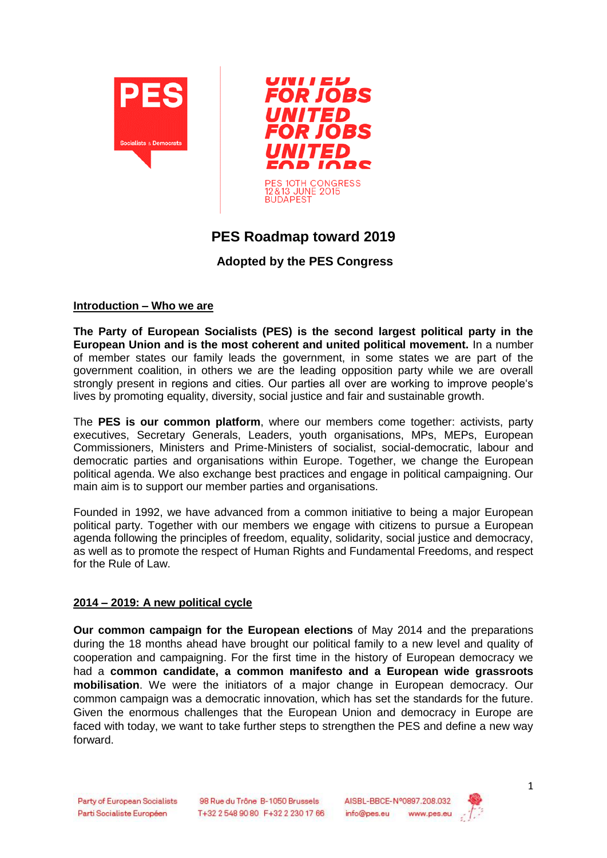



# **PES Roadmap toward 2019**

# **Adopted by the PES Congress**

#### **Introduction – Who we are**

**The Party of European Socialists (PES) is the second largest political party in the European Union and is the most coherent and united political movement.** In a number of member states our family leads the government, in some states we are part of the government coalition, in others we are the leading opposition party while we are overall strongly present in regions and cities. Our parties all over are working to improve people's lives by promoting equality, diversity, social justice and fair and sustainable growth.

The **PES is our common platform**, where our members come together: activists, party executives, Secretary Generals, Leaders, youth organisations, MPs, MEPs, European Commissioners, Ministers and Prime-Ministers of socialist, social-democratic, labour and democratic parties and organisations within Europe. Together, we change the European political agenda. We also exchange best practices and engage in political campaigning. Our main aim is to support our member parties and organisations.

Founded in 1992, we have advanced from a common initiative to being a major European political party. Together with our members we engage with citizens to pursue a European agenda following the principles of freedom, equality, solidarity, social justice and democracy, as well as to promote the respect of Human Rights and Fundamental Freedoms, and respect for the Rule of Law.

#### **2014 – 2019: A new political cycle**

**Our common campaign for the European elections** of May 2014 and the preparations during the 18 months ahead have brought our political family to a new level and quality of cooperation and campaigning. For the first time in the history of European democracy we had a **common candidate, a common manifesto and a European wide grassroots mobilisation**. We were the initiators of a major change in European democracy. Our common campaign was a democratic innovation, which has set the standards for the future. Given the enormous challenges that the European Union and democracy in Europe are faced with today, we want to take further steps to strengthen the PES and define a new way forward.

98 Rue du Trône B-1050 Brussels T+32 2 548 90 80 F+32 2 230 17 66



1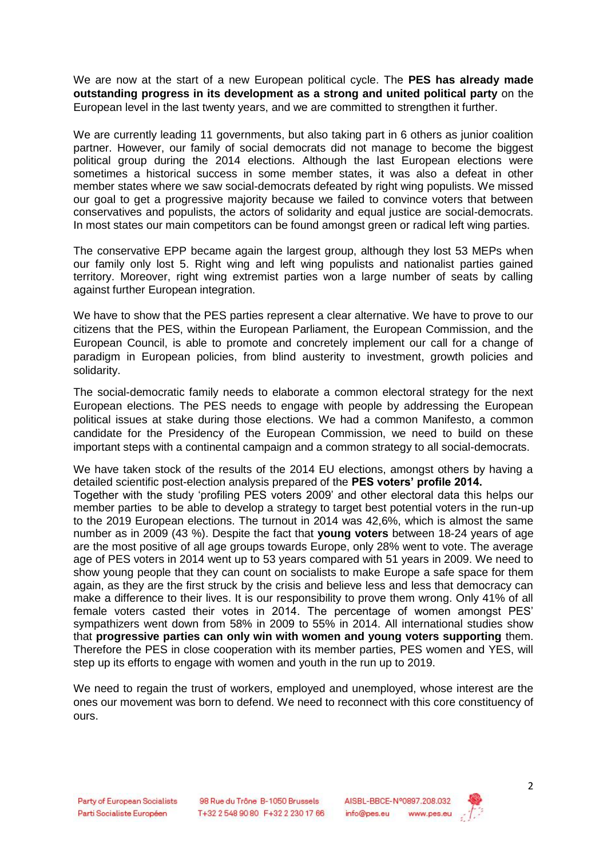We are now at the start of a new European political cycle. The **PES has already made outstanding progress in its development as a strong and united political party** on the European level in the last twenty years, and we are committed to strengthen it further.

We are currently leading 11 governments, but also taking part in 6 others as junior coalition partner. However, our family of social democrats did not manage to become the biggest political group during the 2014 elections. Although the last European elections were sometimes a historical success in some member states, it was also a defeat in other member states where we saw social-democrats defeated by right wing populists. We missed our goal to get a progressive majority because we failed to convince voters that between conservatives and populists, the actors of solidarity and equal justice are social-democrats. In most states our main competitors can be found amongst green or radical left wing parties.

The conservative EPP became again the largest group, although they lost 53 MEPs when our family only lost 5. Right wing and left wing populists and nationalist parties gained territory. Moreover, right wing extremist parties won a large number of seats by calling against further European integration.

We have to show that the PES parties represent a clear alternative. We have to prove to our citizens that the PES, within the European Parliament, the European Commission, and the European Council, is able to promote and concretely implement our call for a change of paradigm in European policies, from blind austerity to investment, growth policies and solidarity.

The social-democratic family needs to elaborate a common electoral strategy for the next European elections. The PES needs to engage with people by addressing the European political issues at stake during those elections. We had a common Manifesto, a common candidate for the Presidency of the European Commission, we need to build on these important steps with a continental campaign and a common strategy to all social-democrats.

We have taken stock of the results of the 2014 EU elections, amongst others by having a detailed scientific post-election analysis prepared of the **PES voters' profile 2014.**  Together with the study 'profiling PES voters 2009' and other electoral data this helps our member parties to be able to develop a strategy to target best potential voters in the run-up to the 2019 European elections. The turnout in 2014 was 42,6%, which is almost the same number as in 2009 (43 %). Despite the fact that **young voters** between 18-24 years of age are the most positive of all age groups towards Europe, only 28% went to vote. The average age of PES voters in 2014 went up to 53 years compared with 51 years in 2009. We need to show young people that they can count on socialists to make Europe a safe space for them again, as they are the first struck by the crisis and believe less and less that democracy can make a difference to their lives. It is our responsibility to prove them wrong. Only 41% of all female voters casted their votes in 2014. The percentage of women amongst PES' sympathizers went down from 58% in 2009 to 55% in 2014. All international studies show that **progressive parties can only win with women and young voters supporting** them. Therefore the PES in close cooperation with its member parties, PES women and YES, will step up its efforts to engage with women and youth in the run up to 2019.

We need to regain the trust of workers, employed and unemployed, whose interest are the ones our movement was born to defend. We need to reconnect with this core constituency of ours.

98 Rue du Trône B-1050 Brussels T+32 2 548 90 80 F+32 2 230 17 66

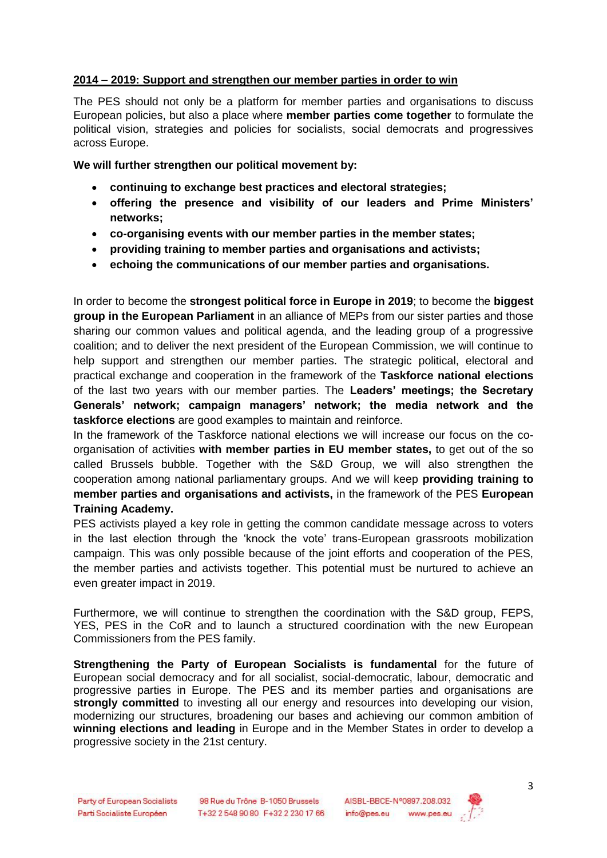#### **2014 – 2019: Support and strengthen our member parties in order to win**

The PES should not only be a platform for member parties and organisations to discuss European policies, but also a place where **member parties come together** to formulate the political vision, strategies and policies for socialists, social democrats and progressives across Europe.

**We will further strengthen our political movement by:** 

- **continuing to exchange best practices and electoral strategies;**
- **offering the presence and visibility of our leaders and Prime Ministers' networks;**
- **co-organising events with our member parties in the member states;**
- **providing training to member parties and organisations and activists;**
- **echoing the communications of our member parties and organisations.**

In order to become the **strongest political force in Europe in 2019**; to become the **biggest group in the European Parliament** in an alliance of MEPs from our sister parties and those sharing our common values and political agenda, and the leading group of a progressive coalition; and to deliver the next president of the European Commission, we will continue to help support and strengthen our member parties. The strategic political, electoral and practical exchange and cooperation in the framework of the **Taskforce national elections** of the last two years with our member parties. The **Leaders' meetings; the Secretary Generals' network; campaign managers' network; the media network and the taskforce elections** are good examples to maintain and reinforce.

In the framework of the Taskforce national elections we will increase our focus on the coorganisation of activities **with member parties in EU member states,** to get out of the so called Brussels bubble. Together with the S&D Group, we will also strengthen the cooperation among national parliamentary groups. And we will keep **providing training to member parties and organisations and activists,** in the framework of the PES **European Training Academy.** 

PES activists played a key role in getting the common candidate message across to voters in the last election through the 'knock the vote' trans-European grassroots mobilization campaign. This was only possible because of the joint efforts and cooperation of the PES, the member parties and activists together. This potential must be nurtured to achieve an even greater impact in 2019.

Furthermore, we will continue to strengthen the coordination with the S&D group, FEPS, YES, PES in the CoR and to launch a structured coordination with the new European Commissioners from the PES family.

**Strengthening the Party of European Socialists is fundamental** for the future of European social democracy and for all socialist, social-democratic, labour, democratic and progressive parties in Europe. The PES and its member parties and organisations are **strongly committed** to investing all our energy and resources into developing our vision, modernizing our structures, broadening our bases and achieving our common ambition of **winning elections and leading** in Europe and in the Member States in order to develop a progressive society in the 21st century.

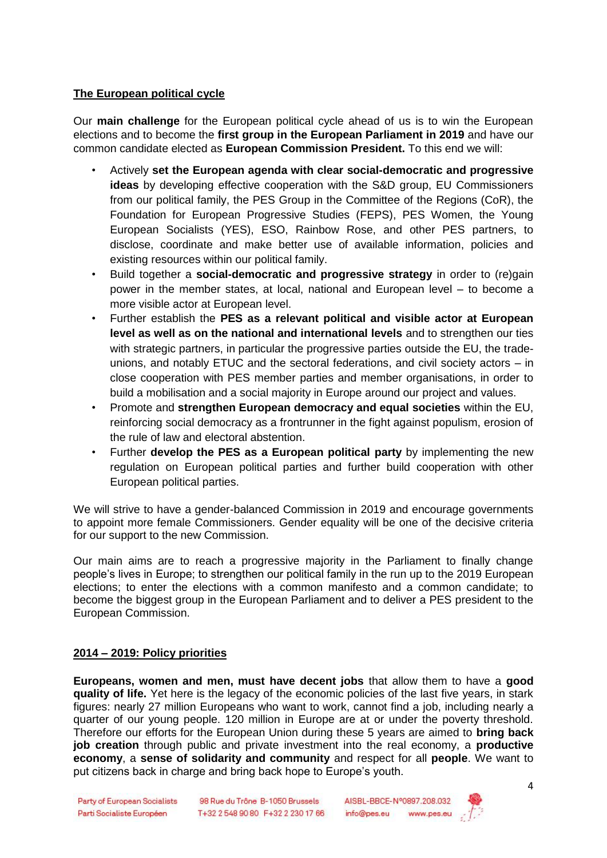## **The European political cycle**

Our **main challenge** for the European political cycle ahead of us is to win the European elections and to become the **first group in the European Parliament in 2019** and have our common candidate elected as **European Commission President.** To this end we will:

- Actively **set the European agenda with clear social-democratic and progressive ideas** by developing effective cooperation with the S&D group, EU Commissioners from our political family, the PES Group in the Committee of the Regions (CoR), the Foundation for European Progressive Studies (FEPS), PES Women, the Young European Socialists (YES), ESO, Rainbow Rose, and other PES partners, to disclose, coordinate and make better use of available information, policies and existing resources within our political family.
- Build together a **social-democratic and progressive strategy** in order to (re)gain power in the member states, at local, national and European level – to become a more visible actor at European level.
- Further establish the **PES as a relevant political and visible actor at European level as well as on the national and international levels** and to strengthen our ties with strategic partners, in particular the progressive parties outside the EU, the tradeunions, and notably ETUC and the sectoral federations, and civil society actors – in close cooperation with PES member parties and member organisations, in order to build a mobilisation and a social majority in Europe around our project and values.
- Promote and **strengthen European democracy and equal societies** within the EU, reinforcing social democracy as a frontrunner in the fight against populism, erosion of the rule of law and electoral abstention.
- Further **develop the PES as a European political party** by implementing the new regulation on European political parties and further build cooperation with other European political parties.

We will strive to have a gender-balanced Commission in 2019 and encourage governments to appoint more female Commissioners. Gender equality will be one of the decisive criteria for our support to the new Commission.

Our main aims are to reach a progressive majority in the Parliament to finally change people's lives in Europe; to strengthen our political family in the run up to the 2019 European elections; to enter the elections with a common manifesto and a common candidate; to become the biggest group in the European Parliament and to deliver a PES president to the European Commission.

## **2014 – 2019: Policy priorities**

**Europeans, women and men, must have decent jobs** that allow them to have a **good quality of life.** Yet here is the legacy of the economic policies of the last five years, in stark figures: nearly 27 million Europeans who want to work, cannot find a job, including nearly a quarter of our young people. 120 million in Europe are at or under the poverty threshold. Therefore our efforts for the European Union during these 5 years are aimed to **bring back job creation** through public and private investment into the real economy, a **productive economy**, a **sense of solidarity and community** and respect for all **people**. We want to put citizens back in charge and bring back hope to Europe's youth.

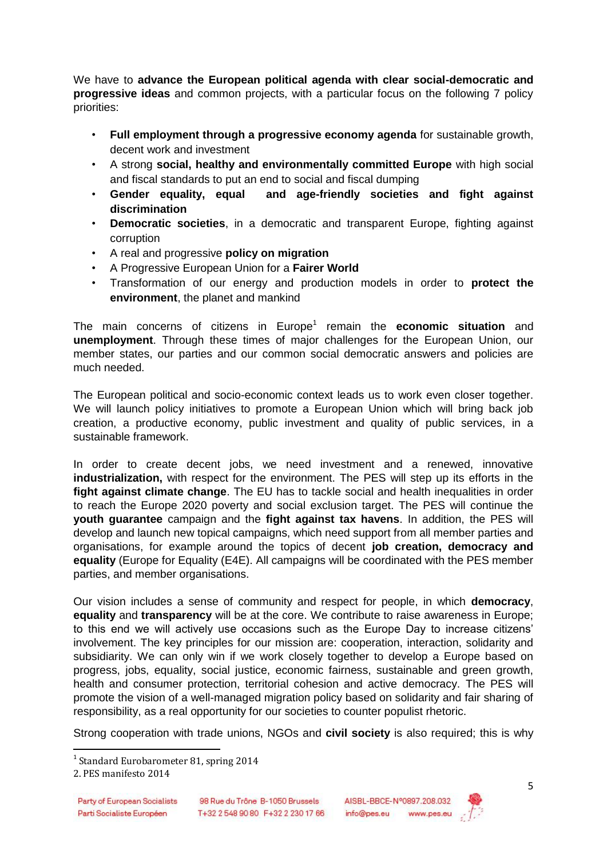We have to **advance the European political agenda with clear social-democratic and progressive ideas** and common projects, with a particular focus on the following 7 policy priorities:

- **Full employment through a progressive economy agenda** for sustainable growth, decent work and investment
- A strong **social, healthy and environmentally committed Europe** with high social and fiscal standards to put an end to social and fiscal dumping
- **Gender equality, equal and age-friendly societies and fight against discrimination**
- **Democratic societies**, in a democratic and transparent Europe, fighting against corruption
- A real and progressive **policy on migration**
- A Progressive European Union for a **Fairer World**
- Transformation of our energy and production models in order to **protect the environment**, the planet and mankind

The main concerns of citizens in Europe<sup>1</sup> remain the **economic situation** and **unemployment**. Through these times of major challenges for the European Union, our member states, our parties and our common social democratic answers and policies are much needed.

The European political and socio-economic context leads us to work even closer together. We will launch policy initiatives to promote a European Union which will bring back job creation, a productive economy, public investment and quality of public services, in a sustainable framework.

In order to create decent jobs, we need investment and a renewed, innovative **industrialization,** with respect for the environment. The PES will step up its efforts in the **fight against climate change**. The EU has to tackle social and health inequalities in order to reach the Europe 2020 poverty and social exclusion target. The PES will continue the **youth guarantee** campaign and the **fight against tax havens**. In addition, the PES will develop and launch new topical campaigns, which need support from all member parties and organisations, for example around the topics of decent **job creation, democracy and equality** (Europe for Equality (E4E). All campaigns will be coordinated with the PES member parties, and member organisations.

Our vision includes a sense of community and respect for people, in which **democracy**, **equality** and **transparency** will be at the core. We contribute to raise awareness in Europe; to this end we will actively use occasions such as the Europe Day to increase citizens' involvement. The key principles for our mission are: cooperation, interaction, solidarity and subsidiarity. We can only win if we work closely together to develop a Europe based on progress, jobs, equality, social justice, economic fairness, sustainable and green growth, health and consumer protection, territorial cohesion and active democracy. The PES will promote the vision of a well-managed migration policy based on solidarity and fair sharing of responsibility, as a real opportunity for our societies to counter populist rhetoric.

Strong cooperation with trade unions, NGOs and **civil society** is also required; this is why



 1 Standard Eurobarometer 81, spring 2014

<sup>2.</sup> PES manifesto 2014